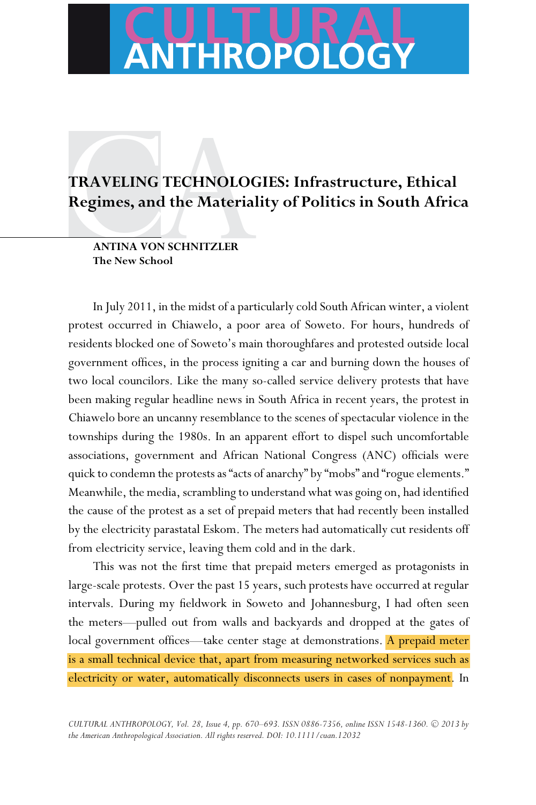# NTHROPOLO

# **TRAVELING TECHNOLOGIES: Infrastructure, Ethical<br>Regimes, and the Materiality of Politics in South African<br>ANTINA VON SCHNITZLER**<br>The New School **Regimes, and the Materiality of Politics in South Africa** TECHNOLOG<br>d the Material<br>N SCHNITZLER<br>ool

**ANTINA VON SCHNITZLER The New School**

In July 2011, in the midst of a particularly cold South African winter, a violent protest occurred in Chiawelo, a poor area of Soweto. For hours, hundreds of residents blocked one of Soweto's main thoroughfares and protested outside local government offices, in the process igniting a car and burning down the houses of two local councilors. Like the many so-called service delivery protests that have been making regular headline news in South Africa in recent years, the protest in Chiawelo bore an uncanny resemblance to the scenes of spectacular violence in the townships during the 1980s. In an apparent effort to dispel such uncomfortable associations, government and African National Congress (ANC) officials were quick to condemn the protests as "acts of anarchy" by "mobs" and "rogue elements." Meanwhile, the media, scrambling to understand what was going on, had identified the cause of the protest as a set of prepaid meters that had recently been installed by the electricity parastatal Eskom. The meters had automatically cut residents off from electricity service, leaving them cold and in the dark.

This was not the first time that prepaid meters emerged as protagonists in large-scale protests. Over the past 15 years, such protests have occurred at regular intervals. During my fieldwork in Soweto and Johannesburg, I had often seen the meters—pulled out from walls and backyards and dropped at the gates of local government offices—take center stage at demonstrations. A prepaid meter is a small technical device that, apart from measuring networked services such as electricity or water, automatically disconnects users in cases of nonpayment. In

*CULTURAL ANTHROPOLOGY, Vol. 28, Issue 4, pp. 670–693. ISSN 0886-7356, online ISSN 1548-1360.* -<sup>C</sup> *2013 by the American Anthropological Association. All rights reserved. DOI: 10.1111/cuan.12032*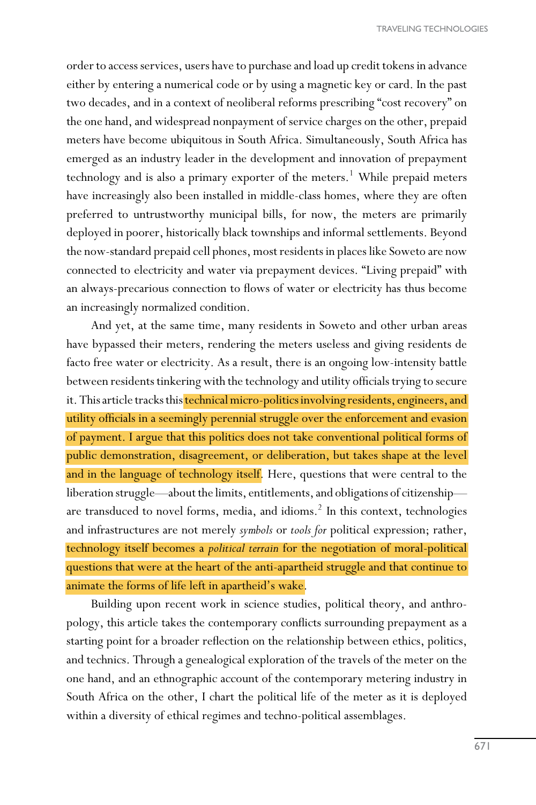order to access services, users have to purchase and load up credit tokens in advance either by entering a numerical code or by using a magnetic key or card. In the past two decades, and in a context of neoliberal reforms prescribing "cost recovery" on the one hand, and widespread nonpayment of service charges on the other, prepaid meters have become ubiquitous in South Africa. Simultaneously, South Africa has emerged as an industry leader in the development and innovation of prepayment technology and is also a primary exporter of the meters.<sup>1</sup> While prepaid meters have increasingly also been installed in middle-class homes, where they are often preferred to untrustworthy municipal bills, for now, the meters are primarily deployed in poorer, historically black townships and informal settlements. Beyond the now-standard prepaid cell phones, most residents in places like Soweto are now connected to electricity and water via prepayment devices. "Living prepaid" with an always-precarious connection to flows of water or electricity has thus become an increasingly normalized condition.

And yet, at the same time, many residents in Soweto and other urban areas have bypassed their meters, rendering the meters useless and giving residents de facto free water or electricity. As a result, there is an ongoing low-intensity battle between residents tinkering with the technology and utility officials trying to secure it. This article tracks this technical micro-politics involving residents, engineers, and utility officials in a seemingly perennial struggle over the enforcement and evasion of payment. I argue that this politics does not take conventional political forms of public demonstration, disagreement, or deliberation, but takes shape at the level and in the language of technology itself. Here, questions that were central to the liberation struggle—about the limits, entitlements, and obligations of citizenship are transduced to novel forms, media, and idioms.<sup>2</sup> In this context, technologies and infrastructures are not merely *symbols* or *tools for* political expression; rather, technology itself becomes a *political terrain* for the negotiation of moral-political questions that were at the heart of the anti-apartheid struggle and that continue to animate the forms of life left in apartheid's wake.

Building upon recent work in science studies, political theory, and anthropology, this article takes the contemporary conflicts surrounding prepayment as a starting point for a broader reflection on the relationship between ethics, politics, and technics. Through a genealogical exploration of the travels of the meter on the one hand, and an ethnographic account of the contemporary metering industry in South Africa on the other, I chart the political life of the meter as it is deployed within a diversity of ethical regimes and techno-political assemblages.

671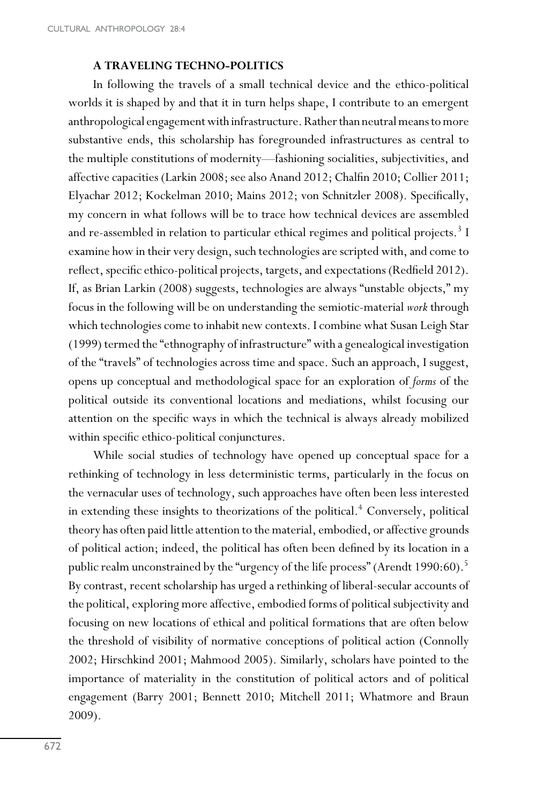## **A TRAVELING TECHNO-POLITICS**

In following the travels of a small technical device and the ethico-political worlds it is shaped by and that it in turn helps shape, I contribute to an emergent anthropological engagement with infrastructure. Rather than neutral means to more substantive ends, this scholarship has foregrounded infrastructures as central to the multiple constitutions of modernity—fashioning socialities, subjectivities, and affective capacities (Larkin 2008; see also Anand 2012; Chalfin 2010; Collier 2011; Elyachar 2012; Kockelman 2010; Mains 2012; von Schnitzler 2008). Specifically, my concern in what follows will be to trace how technical devices are assembled and re-assembled in relation to particular ethical regimes and political projects.<sup>3</sup> I examine how in their very design, such technologies are scripted with, and come to reflect, specific ethico-political projects, targets, and expectations (Redfield 2012). If, as Brian Larkin (2008) suggests, technologies are always "unstable objects," my focus in the following will be on understanding the semiotic-material *work* through which technologies come to inhabit new contexts. I combine what Susan Leigh Star (1999) termed the "ethnography of infrastructure" with a genealogical investigation of the "travels" of technologies across time and space. Such an approach, I suggest, opens up conceptual and methodological space for an exploration of *forms* of the political outside its conventional locations and mediations, whilst focusing our attention on the specific ways in which the technical is always already mobilized within specific ethico-political conjunctures.

While social studies of technology have opened up conceptual space for a rethinking of technology in less deterministic terms, particularly in the focus on the vernacular uses of technology, such approaches have often been less interested in extending these insights to the<br>orizations of the political.  $\!4$  Conversely, political theory has often paid little attention to the material, embodied, or affective grounds of political action; indeed, the political has often been defined by its location in a public realm unconstrained by the "urgency of the life process" (Arendt 1990:60).<sup>5</sup> By contrast, recent scholarship has urged a rethinking of liberal-secular accounts of the political, exploring more affective, embodied forms of political subjectivity and focusing on new locations of ethical and political formations that are often below the threshold of visibility of normative conceptions of political action (Connolly 2002; Hirschkind 2001; Mahmood 2005). Similarly, scholars have pointed to the importance of materiality in the constitution of political actors and of political engagement (Barry 2001; Bennett 2010; Mitchell 2011; Whatmore and Braun 2009).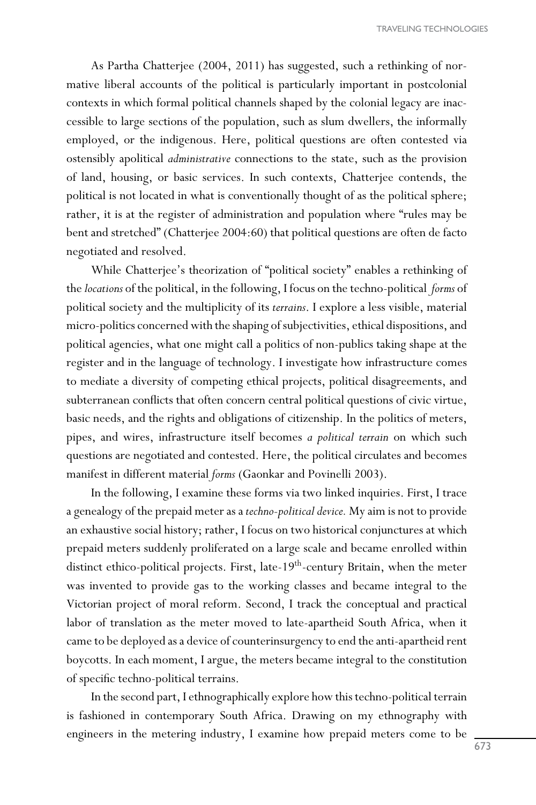As Partha Chatterjee (2004, 2011) has suggested, such a rethinking of normative liberal accounts of the political is particularly important in postcolonial contexts in which formal political channels shaped by the colonial legacy are inaccessible to large sections of the population, such as slum dwellers, the informally employed, or the indigenous. Here, political questions are often contested via ostensibly apolitical *administrative* connections to the state, such as the provision of land, housing, or basic services. In such contexts, Chatterjee contends, the political is not located in what is conventionally thought of as the political sphere; rather, it is at the register of administration and population where "rules may be bent and stretched" (Chatterjee 2004:60) that political questions are often de facto negotiated and resolved.

While Chatterjee's theorization of "political society" enables a rethinking of the *locations* of the political, in the following, I focus on the techno-political *forms* of political society and the multiplicity of its *terrains*. I explore a less visible, material micro-politics concerned with the shaping of subjectivities, ethical dispositions, and political agencies, what one might call a politics of non-publics taking shape at the register and in the language of technology. I investigate how infrastructure comes to mediate a diversity of competing ethical projects, political disagreements, and subterranean conflicts that often concern central political questions of civic virtue, basic needs, and the rights and obligations of citizenship. In the politics of meters, pipes, and wires, infrastructure itself becomes *a political terrain* on which such questions are negotiated and contested. Here, the political circulates and becomes manifest in different material *forms* (Gaonkar and Povinelli 2003).

In the following, I examine these forms via two linked inquiries. First, I trace a genealogy of the prepaid meter as a*techno-political device.* My aim is not to provide an exhaustive social history; rather, I focus on two historical conjunctures at which prepaid meters suddenly proliferated on a large scale and became enrolled within distinct ethico-political projects. First, late-19<sup>th</sup>-century Britain, when the meter was invented to provide gas to the working classes and became integral to the Victorian project of moral reform. Second, I track the conceptual and practical labor of translation as the meter moved to late-apartheid South Africa, when it came to be deployed as a device of counterinsurgency to end the anti-apartheid rent boycotts. In each moment, I argue, the meters became integral to the constitution of specific techno-political terrains.

In the second part, I ethnographically explore how this techno-political terrain is fashioned in contemporary South Africa. Drawing on my ethnography with engineers in the metering industry, I examine how prepaid meters come to be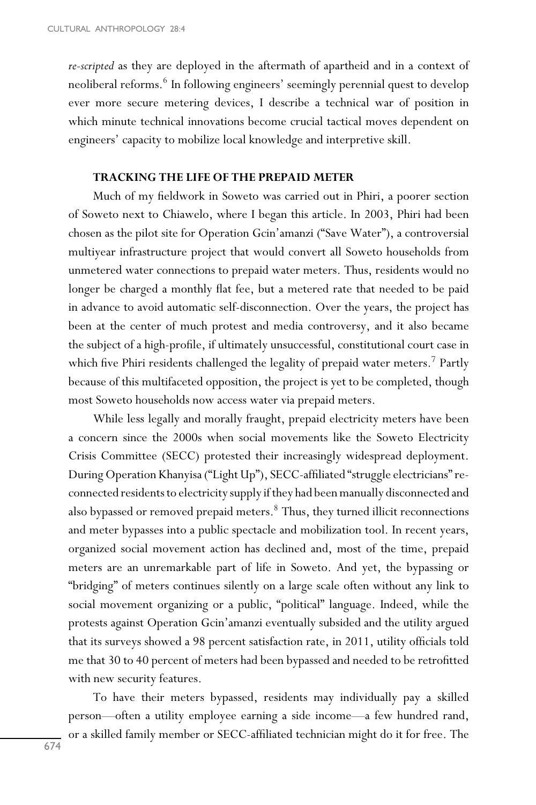*re-scripted* as they are deployed in the aftermath of apartheid and in a context of  ${\rm{neoliberal}}$  reforms.  $\!6$  In following engineers' seemingly perennial quest to develop ever more secure metering devices, I describe a technical war of position in which minute technical innovations become crucial tactical moves dependent on engineers' capacity to mobilize local knowledge and interpretive skill.

## **TRACKING THE LIFE OF THE PREPAID METER**

Much of my fieldwork in Soweto was carried out in Phiri, a poorer section of Soweto next to Chiawelo, where I began this article. In 2003, Phiri had been chosen as the pilot site for Operation Gcin'amanzi ("Save Water"), a controversial multiyear infrastructure project that would convert all Soweto households from unmetered water connections to prepaid water meters. Thus, residents would no longer be charged a monthly flat fee, but a metered rate that needed to be paid in advance to avoid automatic self-disconnection. Over the years, the project has been at the center of much protest and media controversy, and it also became the subject of a high-profile, if ultimately unsuccessful, constitutional court case in which five Phiri residents challenged the legality of prepaid water meters.  $\!\!^7$  Partly because of this multifaceted opposition, the project is yet to be completed, though most Soweto households now access water via prepaid meters.

While less legally and morally fraught, prepaid electricity meters have been a concern since the 2000s when social movements like the Soweto Electricity Crisis Committee (SECC) protested their increasingly widespread deployment. During Operation Khanyisa ("Light Up"), SECC-affiliated "struggle electricians" reconnected residents to electricity supply if they had been manually disconnected and also bypassed or removed prepaid meters.<sup>8</sup> Thus, they turned illicit reconnections and meter bypasses into a public spectacle and mobilization tool. In recent years, organized social movement action has declined and, most of the time, prepaid meters are an unremarkable part of life in Soweto. And yet, the bypassing or "bridging" of meters continues silently on a large scale often without any link to social movement organizing or a public, "political" language. Indeed, while the protests against Operation Gcin'amanzi eventually subsided and the utility argued that its surveys showed a 98 percent satisfaction rate, in 2011, utility officials told me that 30 to 40 percent of meters had been bypassed and needed to be retrofitted with new security features.

To have their meters bypassed, residents may individually pay a skilled person—often a utility employee earning a side income—a few hundred rand, or a skilled family member or SECC-affiliated technician might do it for free. The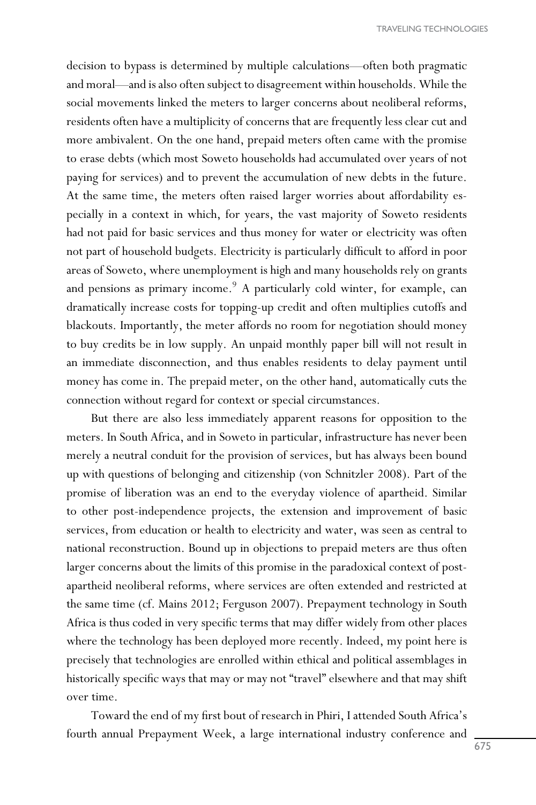decision to bypass is determined by multiple calculations—often both pragmatic and moral—and is also often subject to disagreement within households. While the social movements linked the meters to larger concerns about neoliberal reforms, residents often have a multiplicity of concerns that are frequently less clear cut and more ambivalent. On the one hand, prepaid meters often came with the promise to erase debts (which most Soweto households had accumulated over years of not paying for services) and to prevent the accumulation of new debts in the future. At the same time, the meters often raised larger worries about affordability especially in a context in which, for years, the vast majority of Soweto residents had not paid for basic services and thus money for water or electricity was often not part of household budgets. Electricity is particularly difficult to afford in poor areas of Soweto, where unemployment is high and many households rely on grants and pensions as primary income.<sup>9</sup> A particularly cold winter, for example, can dramatically increase costs for topping-up credit and often multiplies cutoffs and blackouts. Importantly, the meter affords no room for negotiation should money to buy credits be in low supply. An unpaid monthly paper bill will not result in an immediate disconnection, and thus enables residents to delay payment until money has come in. The prepaid meter, on the other hand, automatically cuts the connection without regard for context or special circumstances.

But there are also less immediately apparent reasons for opposition to the meters. In South Africa, and in Soweto in particular, infrastructure has never been merely a neutral conduit for the provision of services, but has always been bound up with questions of belonging and citizenship (von Schnitzler 2008). Part of the promise of liberation was an end to the everyday violence of apartheid. Similar to other post-independence projects, the extension and improvement of basic services, from education or health to electricity and water, was seen as central to national reconstruction. Bound up in objections to prepaid meters are thus often larger concerns about the limits of this promise in the paradoxical context of postapartheid neoliberal reforms, where services are often extended and restricted at the same time (cf. Mains 2012; Ferguson 2007). Prepayment technology in South Africa is thus coded in very specific terms that may differ widely from other places where the technology has been deployed more recently. Indeed, my point here is precisely that technologies are enrolled within ethical and political assemblages in historically specific ways that may or may not "travel" elsewhere and that may shift over time.

Toward the end of my first bout of research in Phiri, I attended South Africa's fourth annual Prepayment Week, a large international industry conference and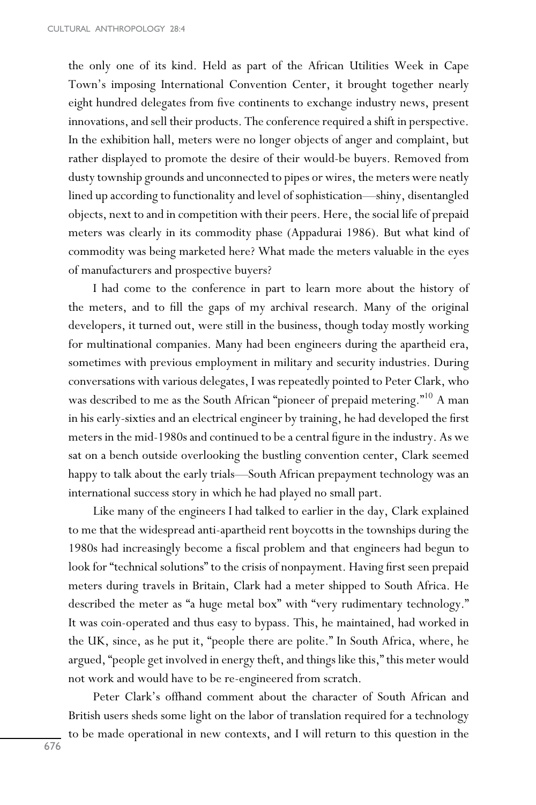the only one of its kind. Held as part of the African Utilities Week in Cape Town's imposing International Convention Center, it brought together nearly eight hundred delegates from five continents to exchange industry news, present innovations, and sell their products. The conference required a shift in perspective. In the exhibition hall, meters were no longer objects of anger and complaint, but rather displayed to promote the desire of their would-be buyers. Removed from dusty township grounds and unconnected to pipes or wires, the meters were neatly lined up according to functionality and level of sophistication—shiny, disentangled objects, next to and in competition with their peers. Here, the social life of prepaid meters was clearly in its commodity phase (Appadurai 1986). But what kind of commodity was being marketed here? What made the meters valuable in the eyes of manufacturers and prospective buyers?

I had come to the conference in part to learn more about the history of the meters, and to fill the gaps of my archival research. Many of the original developers, it turned out, were still in the business, though today mostly working for multinational companies. Many had been engineers during the apartheid era, sometimes with previous employment in military and security industries. During conversations with various delegates, I was repeatedly pointed to Peter Clark, who was described to me as the South African "pioneer of prepaid metering."<sup>10</sup> A man in his early-sixties and an electrical engineer by training, he had developed the first meters in the mid-1980s and continued to be a central figure in the industry. As we sat on a bench outside overlooking the bustling convention center, Clark seemed happy to talk about the early trials—South African prepayment technology was an international success story in which he had played no small part.

Like many of the engineers I had talked to earlier in the day, Clark explained to me that the widespread anti-apartheid rent boycotts in the townships during the 1980s had increasingly become a fiscal problem and that engineers had begun to look for "technical solutions" to the crisis of nonpayment. Having first seen prepaid meters during travels in Britain, Clark had a meter shipped to South Africa. He described the meter as "a huge metal box" with "very rudimentary technology." It was coin-operated and thus easy to bypass. This, he maintained, had worked in the UK, since, as he put it, "people there are polite." In South Africa, where, he argued, "people get involved in energy theft, and things like this," this meter would not work and would have to be re-engineered from scratch.

Peter Clark's offhand comment about the character of South African and British users sheds some light on the labor of translation required for a technology to be made operational in new contexts, and I will return to this question in the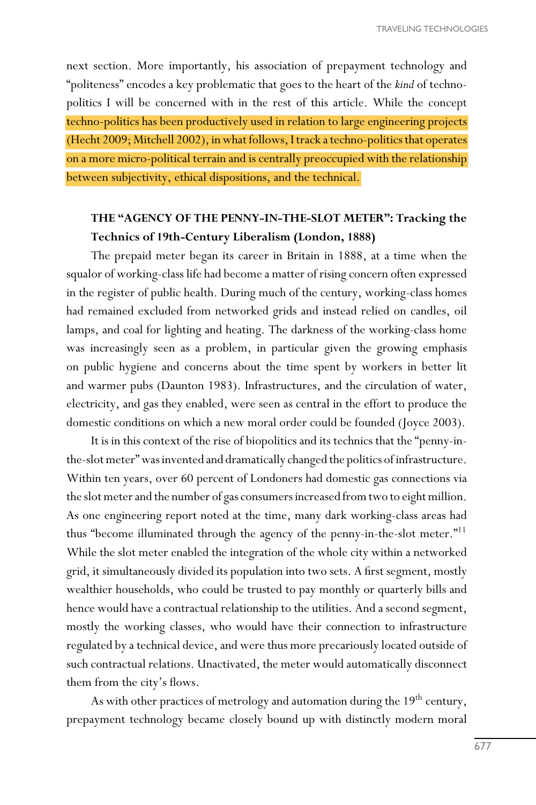next section. More importantly, his association of prepayment technology and "politeness" encodes a key problematic that goes to the heart of the *kind* of technopolitics I will be concerned with in the rest of this article. While the concept techno-politics has been productively used in relation to large engineering projects (Hecht 2009; Mitchell 2002), in what follows, I track a techno-politics that operates on a more micro-political terrain and is centrally preoccupied with the relationship between subjectivity, ethical dispositions, and the technical.

## **THE "AGENCY OF THE PENNY-IN-THE-SLOT METER": Tracking the Technics of 19th-Century Liberalism (London, 1888)**

The prepaid meter began its career in Britain in 1888, at a time when the squalor of working-class life had become a matter of rising concern often expressed in the register of public health. During much of the century, working-class homes had remained excluded from networked grids and instead relied on candles, oil lamps, and coal for lighting and heating. The darkness of the working-class home was increasingly seen as a problem, in particular given the growing emphasis on public hygiene and concerns about the time spent by workers in better lit and warmer pubs (Daunton 1983). Infrastructures, and the circulation of water, electricity, and gas they enabled, were seen as central in the effort to produce the domestic conditions on which a new moral order could be founded (Joyce 2003).

It is in this context of the rise of biopolitics and its technics that the "penny-inthe-slot meter" was invented and dramatically changed the politics of infrastructure. Within ten years, over 60 percent of Londoners had domestic gas connections via the slot meter and the number of gas consumers increased from two to eight million. As one engineering report noted at the time, many dark working-class areas had thus "become illuminated through the agency of the penny-in-the-slot meter."<sup>11</sup> While the slot meter enabled the integration of the whole city within a networked grid, it simultaneously divided its population into two sets. A first segment, mostly wealthier households, who could be trusted to pay monthly or quarterly bills and hence would have a contractual relationship to the utilities. And a second segment, mostly the working classes, who would have their connection to infrastructure regulated by a technical device, and were thus more precariously located outside of such contractual relations. Unactivated, the meter would automatically disconnect them from the city's flows.

As with other practices of metrology and automation during the  $19^{th}$  century, prepayment technology became closely bound up with distinctly modern moral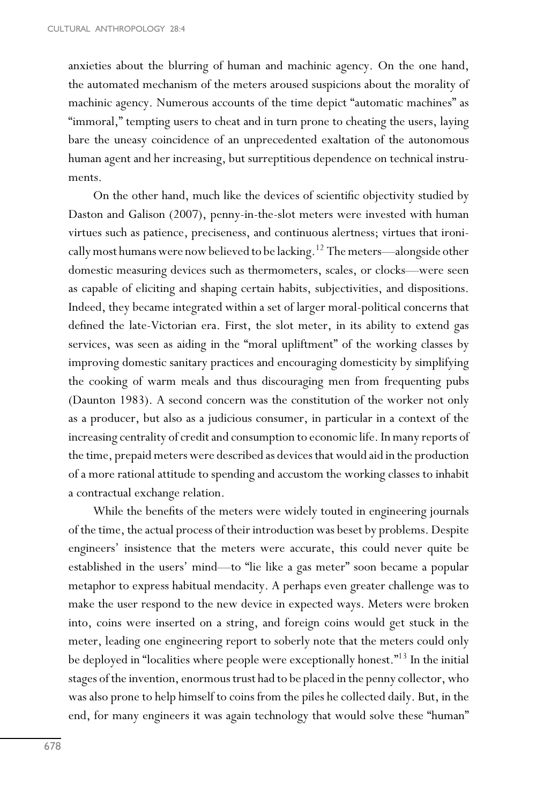anxieties about the blurring of human and machinic agency. On the one hand, the automated mechanism of the meters aroused suspicions about the morality of machinic agency. Numerous accounts of the time depict "automatic machines" as "immoral," tempting users to cheat and in turn prone to cheating the users, laying bare the uneasy coincidence of an unprecedented exaltation of the autonomous human agent and her increasing, but surreptitious dependence on technical instruments.

On the other hand, much like the devices of scientific objectivity studied by Daston and Galison (2007), penny-in-the-slot meters were invested with human virtues such as patience, preciseness, and continuous alertness; virtues that ironically most humans were now believed to be lacking.<sup>12</sup> The meters—alongside other domestic measuring devices such as thermometers, scales, or clocks—were seen as capable of eliciting and shaping certain habits, subjectivities, and dispositions. Indeed, they became integrated within a set of larger moral-political concerns that defined the late-Victorian era. First, the slot meter, in its ability to extend gas services, was seen as aiding in the "moral upliftment" of the working classes by improving domestic sanitary practices and encouraging domesticity by simplifying the cooking of warm meals and thus discouraging men from frequenting pubs (Daunton 1983). A second concern was the constitution of the worker not only as a producer, but also as a judicious consumer, in particular in a context of the increasing centrality of credit and consumption to economic life. In many reports of the time, prepaid meters were described as devices that would aid in the production of a more rational attitude to spending and accustom the working classes to inhabit a contractual exchange relation.

While the benefits of the meters were widely touted in engineering journals of the time, the actual process of their introduction was beset by problems. Despite engineers' insistence that the meters were accurate, this could never quite be established in the users' mind—to "lie like a gas meter" soon became a popular metaphor to express habitual mendacity. A perhaps even greater challenge was to make the user respond to the new device in expected ways. Meters were broken into, coins were inserted on a string, and foreign coins would get stuck in the meter, leading one engineering report to soberly note that the meters could only be deployed in "localities where people were exceptionally honest."<sup>13</sup> In the initial stages of the invention, enormous trust had to be placed in the penny collector, who was also prone to help himself to coins from the piles he collected daily. But, in the end, for many engineers it was again technology that would solve these "human"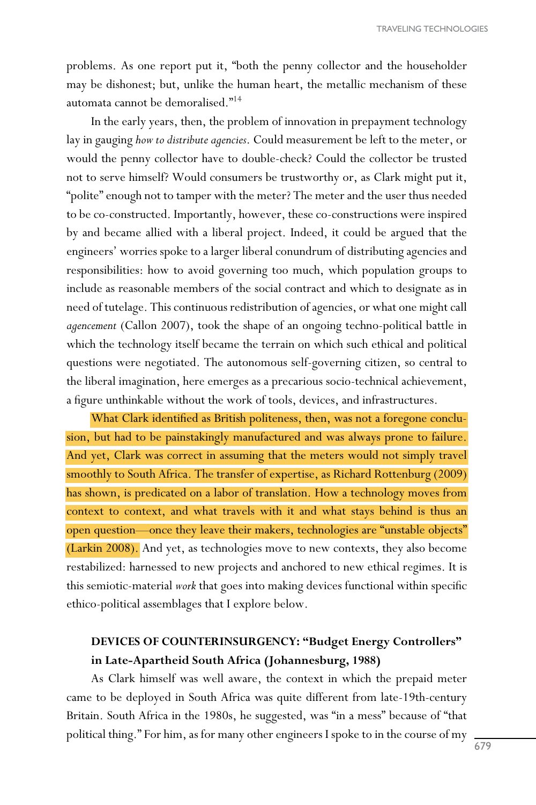problems. As one report put it, "both the penny collector and the householder may be dishonest; but, unlike the human heart, the metallic mechanism of these automata cannot be demoralised."14

In the early years, then, the problem of innovation in prepayment technology lay in gauging *how to distribute agencies*. Could measurement be left to the meter, or would the penny collector have to double-check? Could the collector be trusted not to serve himself? Would consumers be trustworthy or, as Clark might put it, "polite" enough not to tamper with the meter? The meter and the user thus needed to be co-constructed. Importantly, however, these co-constructions were inspired by and became allied with a liberal project. Indeed, it could be argued that the engineers' worries spoke to a larger liberal conundrum of distributing agencies and responsibilities: how to avoid governing too much, which population groups to include as reasonable members of the social contract and which to designate as in need of tutelage. This continuous redistribution of agencies, or what one might call *agencement* (Callon 2007), took the shape of an ongoing techno-political battle in which the technology itself became the terrain on which such ethical and political questions were negotiated. The autonomous self-governing citizen, so central to the liberal imagination, here emerges as a precarious socio-technical achievement, a figure unthinkable without the work of tools, devices, and infrastructures.

What Clark identified as British politeness, then, was not a foregone conclusion, but had to be painstakingly manufactured and was always prone to failure. And yet, Clark was correct in assuming that the meters would not simply travel smoothly to South Africa. The transfer of expertise, as Richard Rottenburg (2009) has shown, is predicated on a labor of translation. How a technology moves from context to context, and what travels with it and what stays behind is thus an open question—once they leave their makers, technologies are "unstable objects" (Larkin 2008). And yet, as technologies move to new contexts, they also become restabilized: harnessed to new projects and anchored to new ethical regimes. It is this semiotic-material *work* that goes into making devices functional within specific ethico-political assemblages that I explore below.

## **DEVICES OF COUNTERINSURGENCY: "Budget Energy Controllers" in Late-Apartheid South Africa (Johannesburg, 1988)**

As Clark himself was well aware, the context in which the prepaid meter came to be deployed in South Africa was quite different from late-19th-century Britain. South Africa in the 1980s, he suggested, was "in a mess" because of "that political thing." For him, as for many other engineers I spoke to in the course of my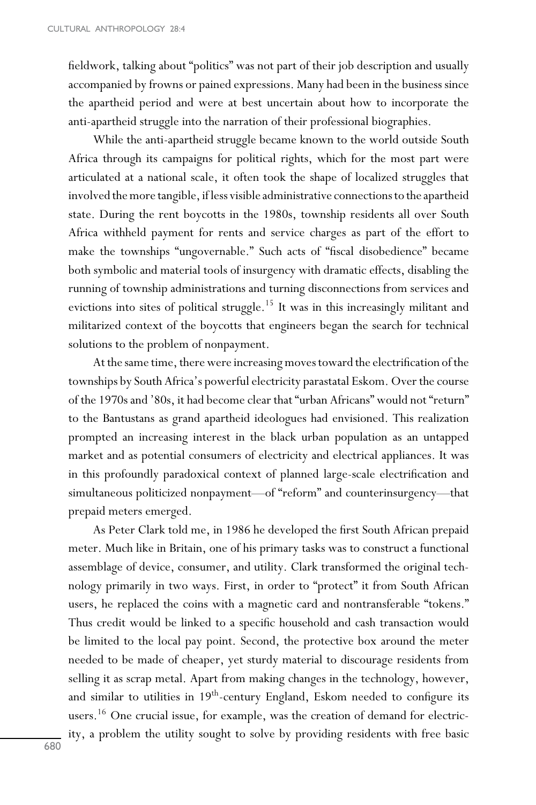fieldwork, talking about "politics" was not part of their job description and usually accompanied by frowns or pained expressions. Many had been in the business since the apartheid period and were at best uncertain about how to incorporate the anti-apartheid struggle into the narration of their professional biographies.

While the anti-apartheid struggle became known to the world outside South Africa through its campaigns for political rights, which for the most part were articulated at a national scale, it often took the shape of localized struggles that involved the more tangible, if less visible administrative connections to the apartheid state. During the rent boycotts in the 1980s, township residents all over South Africa withheld payment for rents and service charges as part of the effort to make the townships "ungovernable." Such acts of "fiscal disobedience" became both symbolic and material tools of insurgency with dramatic effects, disabling the running of township administrations and turning disconnections from services and evictions into sites of political struggle.<sup>15</sup> It was in this increasingly militant and militarized context of the boycotts that engineers began the search for technical solutions to the problem of nonpayment.

At the same time, there were increasing moves toward the electrification of the townships by South Africa's powerful electricity parastatal Eskom. Over the course of the 1970s and '80s, it had become clear that "urban Africans" would not "return" to the Bantustans as grand apartheid ideologues had envisioned. This realization prompted an increasing interest in the black urban population as an untapped market and as potential consumers of electricity and electrical appliances. It was in this profoundly paradoxical context of planned large-scale electrification and simultaneous politicized nonpayment—of "reform" and counterinsurgency—that prepaid meters emerged.

As Peter Clark told me, in 1986 he developed the first South African prepaid meter. Much like in Britain, one of his primary tasks was to construct a functional assemblage of device, consumer, and utility. Clark transformed the original technology primarily in two ways. First, in order to "protect" it from South African users, he replaced the coins with a magnetic card and nontransferable "tokens." Thus credit would be linked to a specific household and cash transaction would be limited to the local pay point. Second, the protective box around the meter needed to be made of cheaper, yet sturdy material to discourage residents from selling it as scrap metal. Apart from making changes in the technology, however, and similar to utilities in  $19<sup>th</sup>$ -century England, Eskom needed to configure its users.<sup>16</sup> One crucial issue, for example, was the creation of demand for electricity, a problem the utility sought to solve by providing residents with free basic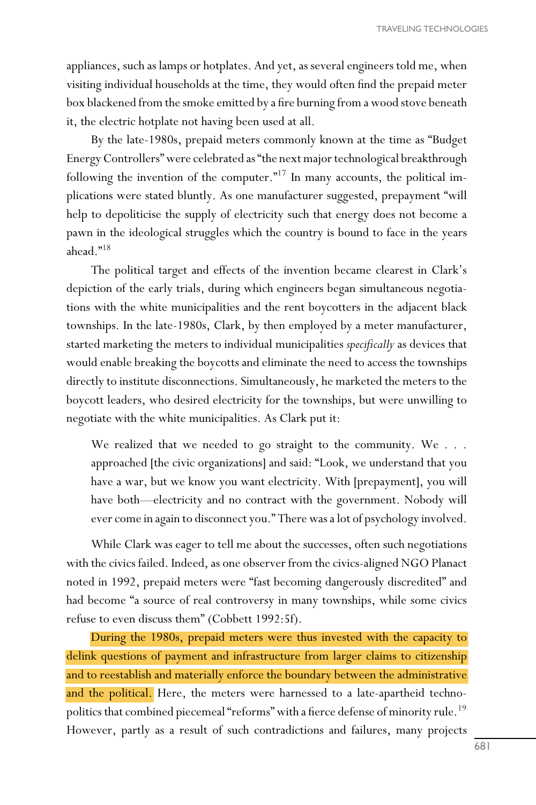appliances, such as lamps or hotplates. And yet, as several engineers told me, when visiting individual households at the time, they would often find the prepaid meter box blackened from the smoke emitted by a fire burning from a wood stove beneath it, the electric hotplate not having been used at all.

By the late-1980s, prepaid meters commonly known at the time as "Budget Energy Controllers" were celebrated as "the next major technological breakthrough following the invention of the computer."<sup>17</sup> In many accounts, the political implications were stated bluntly. As one manufacturer suggested, prepayment "will help to depoliticise the supply of electricity such that energy does not become a pawn in the ideological struggles which the country is bound to face in the years ahead."18

The political target and effects of the invention became clearest in Clark's depiction of the early trials, during which engineers began simultaneous negotiations with the white municipalities and the rent boycotters in the adjacent black townships. In the late-1980s, Clark, by then employed by a meter manufacturer, started marketing the meters to individual municipalities *specifically* as devices that would enable breaking the boycotts and eliminate the need to access the townships directly to institute disconnections. Simultaneously, he marketed the meters to the boycott leaders, who desired electricity for the townships, but were unwilling to negotiate with the white municipalities. As Clark put it:

We realized that we needed to go straight to the community. We . . . approached [the civic organizations] and said: "Look, we understand that you have a war, but we know you want electricity. With [prepayment], you will have both—electricity and no contract with the government. Nobody will ever come in again to disconnect you." There was a lot of psychology involved.

While Clark was eager to tell me about the successes, often such negotiations with the civics failed. Indeed, as one observer from the civics-aligned NGO Planact noted in 1992, prepaid meters were "fast becoming dangerously discredited" and had become "a source of real controversy in many townships, while some civics refuse to even discuss them" (Cobbett 1992:5f).

During the 1980s, prepaid meters were thus invested with the capacity to delink questions of payment and infrastructure from larger claims to citizenship and to reestablish and materially enforce the boundary between the administrative and the political. Here, the meters were harnessed to a late-apartheid technopolitics that combined piecemeal "reforms" with a fierce defense of minority rule.<sup>19</sup> However, partly as a result of such contradictions and failures, many projects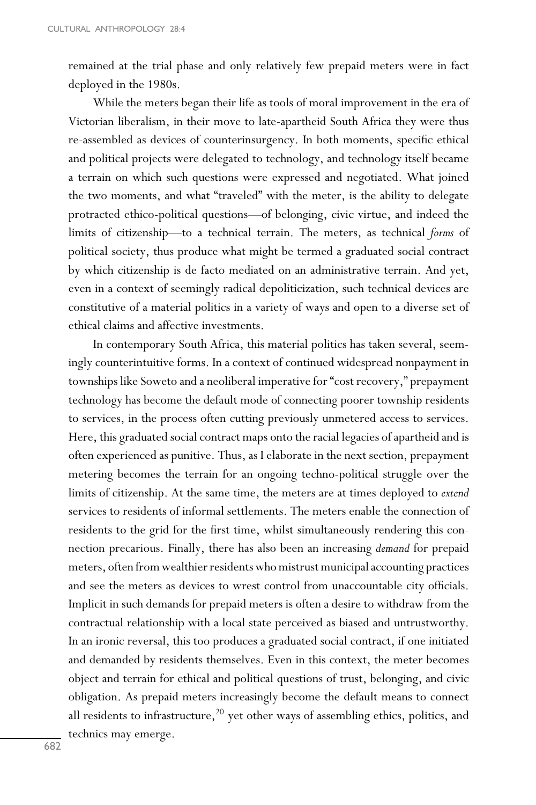remained at the trial phase and only relatively few prepaid meters were in fact deployed in the 1980s.

While the meters began their life as tools of moral improvement in the era of Victorian liberalism, in their move to late-apartheid South Africa they were thus re-assembled as devices of counterinsurgency. In both moments, specific ethical and political projects were delegated to technology, and technology itself became a terrain on which such questions were expressed and negotiated. What joined the two moments, and what "traveled" with the meter, is the ability to delegate protracted ethico-political questions—of belonging, civic virtue, and indeed the limits of citizenship—to a technical terrain. The meters, as technical *forms* of political society, thus produce what might be termed a graduated social contract by which citizenship is de facto mediated on an administrative terrain. And yet, even in a context of seemingly radical depoliticization, such technical devices are constitutive of a material politics in a variety of ways and open to a diverse set of ethical claims and affective investments.

In contemporary South Africa, this material politics has taken several, seemingly counterintuitive forms. In a context of continued widespread nonpayment in townships like Soweto and a neoliberal imperative for "cost recovery," prepayment technology has become the default mode of connecting poorer township residents to services, in the process often cutting previously unmetered access to services. Here, this graduated social contract maps onto the racial legacies of apartheid and is often experienced as punitive. Thus, as I elaborate in the next section, prepayment metering becomes the terrain for an ongoing techno-political struggle over the limits of citizenship. At the same time, the meters are at times deployed to *extend* services to residents of informal settlements. The meters enable the connection of residents to the grid for the first time, whilst simultaneously rendering this connection precarious. Finally, there has also been an increasing *demand* for prepaid meters, often from wealthier residents who mistrust municipal accounting practices and see the meters as devices to wrest control from unaccountable city officials. Implicit in such demands for prepaid meters is often a desire to withdraw from the contractual relationship with a local state perceived as biased and untrustworthy. In an ironic reversal, this too produces a graduated social contract, if one initiated and demanded by residents themselves. Even in this context, the meter becomes object and terrain for ethical and political questions of trust, belonging, and civic obligation. As prepaid meters increasingly become the default means to connect all residents to infrastructure, $20$  yet other ways of assembling ethics, politics, and technics may emerge.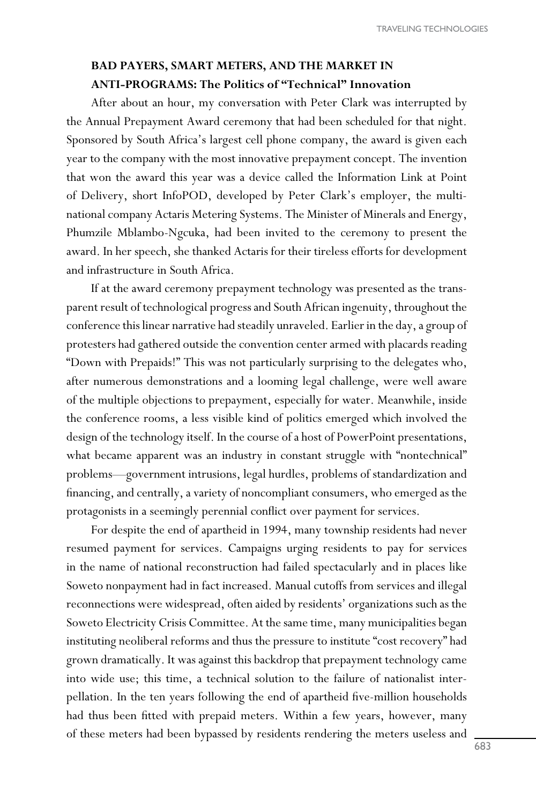## **BAD PAYERS, SMART METERS, AND THE MARKET IN ANTI-PROGRAMS: The Politics of "Technical" Innovation**

After about an hour, my conversation with Peter Clark was interrupted by the Annual Prepayment Award ceremony that had been scheduled for that night. Sponsored by South Africa's largest cell phone company, the award is given each year to the company with the most innovative prepayment concept. The invention that won the award this year was a device called the Information Link at Point of Delivery, short InfoPOD, developed by Peter Clark's employer, the multinational company Actaris Metering Systems. The Minister of Minerals and Energy, Phumzile Mblambo-Ngcuka, had been invited to the ceremony to present the award. In her speech, she thanked Actaris for their tireless efforts for development and infrastructure in South Africa.

If at the award ceremony prepayment technology was presented as the transparent result of technological progress and South African ingenuity, throughout the conference this linear narrative had steadily unraveled. Earlier in the day, a group of protesters had gathered outside the convention center armed with placards reading "Down with Prepaids!" This was not particularly surprising to the delegates who, after numerous demonstrations and a looming legal challenge, were well aware of the multiple objections to prepayment, especially for water. Meanwhile, inside the conference rooms, a less visible kind of politics emerged which involved the design of the technology itself. In the course of a host of PowerPoint presentations, what became apparent was an industry in constant struggle with "nontechnical" problems—government intrusions, legal hurdles, problems of standardization and financing, and centrally, a variety of noncompliant consumers, who emerged as the protagonists in a seemingly perennial conflict over payment for services.

For despite the end of apartheid in 1994, many township residents had never resumed payment for services. Campaigns urging residents to pay for services in the name of national reconstruction had failed spectacularly and in places like Soweto nonpayment had in fact increased. Manual cutoffs from services and illegal reconnections were widespread, often aided by residents' organizations such as the Soweto Electricity Crisis Committee. At the same time, many municipalities began instituting neoliberal reforms and thus the pressure to institute "cost recovery" had grown dramatically. It was against this backdrop that prepayment technology came into wide use; this time, a technical solution to the failure of nationalist interpellation. In the ten years following the end of apartheid five-million households had thus been fitted with prepaid meters. Within a few years, however, many of these meters had been bypassed by residents rendering the meters useless and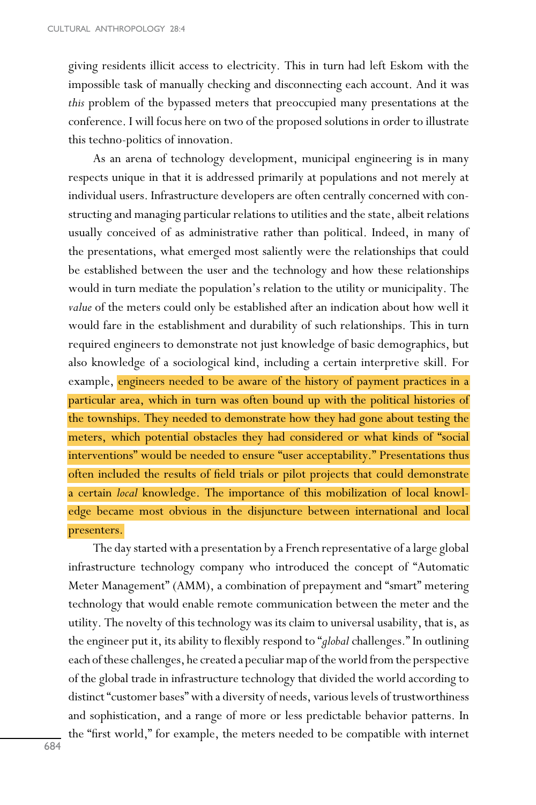giving residents illicit access to electricity. This in turn had left Eskom with the impossible task of manually checking and disconnecting each account. And it was *this* problem of the bypassed meters that preoccupied many presentations at the conference. I will focus here on two of the proposed solutions in order to illustrate this techno-politics of innovation.

As an arena of technology development, municipal engineering is in many respects unique in that it is addressed primarily at populations and not merely at individual users. Infrastructure developers are often centrally concerned with constructing and managing particular relations to utilities and the state, albeit relations usually conceived of as administrative rather than political. Indeed, in many of the presentations, what emerged most saliently were the relationships that could be established between the user and the technology and how these relationships would in turn mediate the population's relation to the utility or municipality. The *value* of the meters could only be established after an indication about how well it would fare in the establishment and durability of such relationships. This in turn required engineers to demonstrate not just knowledge of basic demographics, but also knowledge of a sociological kind, including a certain interpretive skill. For example, engineers needed to be aware of the history of payment practices in a particular area, which in turn was often bound up with the political histories of the townships. They needed to demonstrate how they had gone about testing the meters, which potential obstacles they had considered or what kinds of "social interventions" would be needed to ensure "user acceptability." Presentations thus often included the results of field trials or pilot projects that could demonstrate a certain *local* knowledge. The importance of this mobilization of local knowledge became most obvious in the disjuncture between international and local presenters.

The day started with a presentation by a French representative of a large global infrastructure technology company who introduced the concept of "Automatic Meter Management" (AMM), a combination of prepayment and "smart" metering technology that would enable remote communication between the meter and the utility. The novelty of this technology was its claim to universal usability, that is, as the engineer put it, its ability to flexibly respond to "*global* challenges." In outlining each of these challenges, he created a peculiar map of the world from the perspective of the global trade in infrastructure technology that divided the world according to distinct "customer bases" with a diversity of needs, various levels of trustworthiness and sophistication, and a range of more or less predictable behavior patterns. In the "first world," for example, the meters needed to be compatible with internet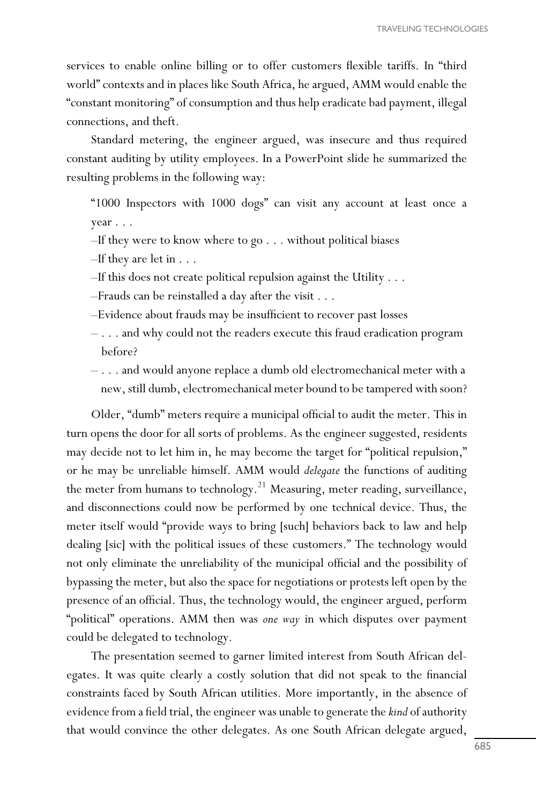services to enable online billing or to offer customers flexible tariffs. In "third world" contexts and in places like South Africa, he argued, AMM would enable the "constant monitoring" of consumption and thus help eradicate bad payment, illegal connections, and theft.

Standard metering, the engineer argued, was insecure and thus required constant auditing by utility employees. In a PowerPoint slide he summarized the resulting problems in the following way:

"1000 Inspectors with 1000 dogs" can visit any account at least once a year . . .

- –If they were to know where to go . . . without political biases
- –If they are let in . . .
- –If this does not create political repulsion against the Utility . . .
- –Frauds can be reinstalled a day after the visit . . .
- –Evidence about frauds may be insufficient to recover past losses
- . . . and why could not the readers execute this fraud eradication program before?
- . . . and would anyone replace a dumb old electromechanical meter with a new, still dumb, electromechanical meter bound to be tampered with soon?

Older, "dumb" meters require a municipal official to audit the meter. This in turn opens the door for all sorts of problems. As the engineer suggested, residents may decide not to let him in, he may become the target for "political repulsion," or he may be unreliable himself. AMM would *delegate* the functions of auditing the meter from humans to technology.<sup>21</sup> Measuring, meter reading, surveillance, and disconnections could now be performed by one technical device. Thus, the meter itself would "provide ways to bring [such] behaviors back to law and help dealing [sic] with the political issues of these customers." The technology would not only eliminate the unreliability of the municipal official and the possibility of bypassing the meter, but also the space for negotiations or protests left open by the presence of an official. Thus, the technology would, the engineer argued, perform "political" operations. AMM then was *one way* in which disputes over payment could be delegated to technology.

The presentation seemed to garner limited interest from South African delegates. It was quite clearly a costly solution that did not speak to the financial constraints faced by South African utilities. More importantly, in the absence of evidence from a field trial, the engineer was unable to generate the *kind* of authority that would convince the other delegates. As one South African delegate argued,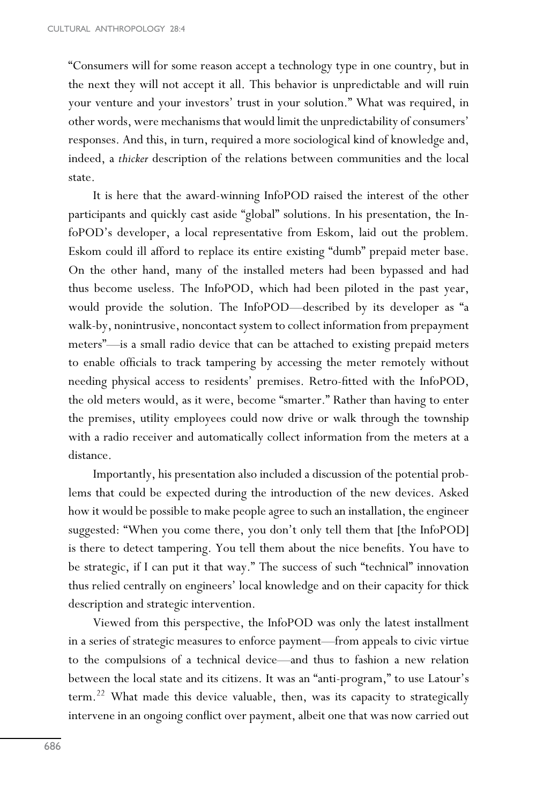"Consumers will for some reason accept a technology type in one country, but in the next they will not accept it all. This behavior is unpredictable and will ruin your venture and your investors' trust in your solution." What was required, in other words, were mechanisms that would limit the unpredictability of consumers' responses. And this, in turn, required a more sociological kind of knowledge and, indeed, a *thicker* description of the relations between communities and the local state.

It is here that the award-winning InfoPOD raised the interest of the other participants and quickly cast aside "global" solutions. In his presentation, the InfoPOD's developer, a local representative from Eskom, laid out the problem. Eskom could ill afford to replace its entire existing "dumb" prepaid meter base. On the other hand, many of the installed meters had been bypassed and had thus become useless. The InfoPOD, which had been piloted in the past year, would provide the solution. The InfoPOD—described by its developer as "a walk-by, nonintrusive, noncontact system to collect information from prepayment meters"—is a small radio device that can be attached to existing prepaid meters to enable officials to track tampering by accessing the meter remotely without needing physical access to residents' premises. Retro-fitted with the InfoPOD, the old meters would, as it were, become "smarter." Rather than having to enter the premises, utility employees could now drive or walk through the township with a radio receiver and automatically collect information from the meters at a distance.

Importantly, his presentation also included a discussion of the potential problems that could be expected during the introduction of the new devices. Asked how it would be possible to make people agree to such an installation, the engineer suggested: "When you come there, you don't only tell them that [the InfoPOD] is there to detect tampering. You tell them about the nice benefits. You have to be strategic, if I can put it that way." The success of such "technical" innovation thus relied centrally on engineers' local knowledge and on their capacity for thick description and strategic intervention.

Viewed from this perspective, the InfoPOD was only the latest installment in a series of strategic measures to enforce payment—from appeals to civic virtue to the compulsions of a technical device—and thus to fashion a new relation between the local state and its citizens. It was an "anti-program," to use Latour's term.<sup>22</sup> What made this device valuable, then, was its capacity to strategically intervene in an ongoing conflict over payment, albeit one that was now carried out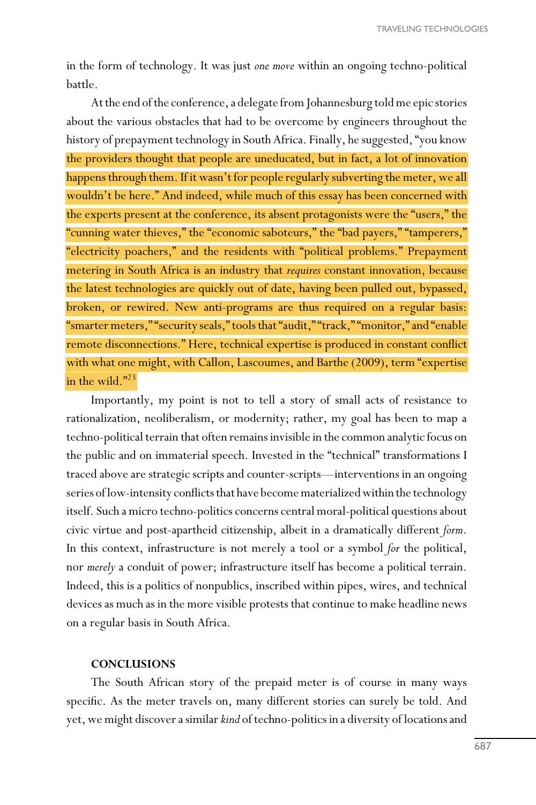in the form of technology. It was just *one move* within an ongoing techno-political battle.

At the end of the conference, a delegate from Johannesburg told me epic stories about the various obstacles that had to be overcome by engineers throughout the history of prepayment technology in South Africa. Finally, he suggested, "you know the providers thought that people are uneducated, but in fact, a lot of innovation happens through them. If it wasn't for people regularly subverting the meter, we all wouldn't be here." And indeed, while much of this essay has been concerned with the experts present at the conference, its absent protagonists were the "users," the "cunning water thieves," the "economic saboteurs," the "bad payers," "tamperers," "electricity poachers," and the residents with "political problems." Prepayment metering in South Africa is an industry that *requires* constant innovation, because the latest technologies are quickly out of date, having been pulled out, bypassed, broken, or rewired. New anti-programs are thus required on a regular basis: "smarter meters," "security seals," tools that "audit," "track," "monitor," and "enable remote disconnections." Here, technical expertise is produced in constant conflict with what one might, with Callon, Lascoumes, and Barthe (2009), term "expertise in the wild. $"^{23}$ 

Importantly, my point is not to tell a story of small acts of resistance to rationalization, neoliberalism, or modernity; rather, my goal has been to map a techno-political terrain that often remains invisible in the common analytic focus on the public and on immaterial speech. Invested in the "technical" transformations I traced above are strategic scripts and counter-scripts—interventions in an ongoing series of low-intensity conflicts that have become materialized within the technology itself. Such a micro techno-politics concerns central moral-political questions about civic virtue and post-apartheid citizenship, albeit in a dramatically different *form*. In this context, infrastructure is not merely a tool or a symbol *for* the political, nor *merely* a conduit of power; infrastructure itself has become a political terrain. Indeed, this is a politics of nonpublics, inscribed within pipes, wires, and technical devices as much as in the more visible protests that continue to make headline news on a regular basis in South Africa.

## **CONCLUSIONS**

The South African story of the prepaid meter is of course in many ways specific. As the meter travels on, many different stories can surely be told. And yet, we might discover a similar*kind* of techno-politics in a diversity of locations and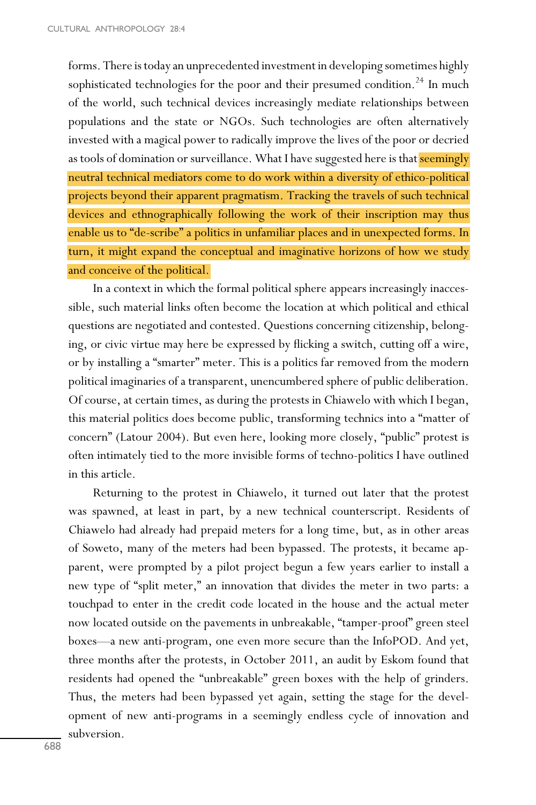forms. There is today an unprecedented investment in developing sometimes highly sophisticated technologies for the poor and their presumed condition.  $^{24}$  In much of the world, such technical devices increasingly mediate relationships between populations and the state or NGOs. Such technologies are often alternatively invested with a magical power to radically improve the lives of the poor or decried as tools of domination or surveillance. What I have suggested here is that seemingly neutral technical mediators come to do work within a diversity of ethico-political projects beyond their apparent pragmatism. Tracking the travels of such technical devices and ethnographically following the work of their inscription may thus enable us to "de-scribe" a politics in unfamiliar places and in unexpected forms. In turn, it might expand the conceptual and imaginative horizons of how we study and conceive of the political.

In a context in which the formal political sphere appears increasingly inaccessible, such material links often become the location at which political and ethical questions are negotiated and contested. Questions concerning citizenship, belonging, or civic virtue may here be expressed by flicking a switch, cutting off a wire, or by installing a "smarter" meter. This is a politics far removed from the modern political imaginaries of a transparent, unencumbered sphere of public deliberation. Of course, at certain times, as during the protests in Chiawelo with which I began, this material politics does become public, transforming technics into a "matter of concern" (Latour 2004). But even here, looking more closely, "public" protest is often intimately tied to the more invisible forms of techno-politics I have outlined in this article.

Returning to the protest in Chiawelo, it turned out later that the protest was spawned, at least in part, by a new technical counterscript. Residents of Chiawelo had already had prepaid meters for a long time, but, as in other areas of Soweto, many of the meters had been bypassed. The protests, it became apparent, were prompted by a pilot project begun a few years earlier to install a new type of "split meter," an innovation that divides the meter in two parts: a touchpad to enter in the credit code located in the house and the actual meter now located outside on the pavements in unbreakable, "tamper-proof" green steel boxes—a new anti-program, one even more secure than the InfoPOD. And yet, three months after the protests, in October 2011, an audit by Eskom found that residents had opened the "unbreakable" green boxes with the help of grinders. Thus, the meters had been bypassed yet again, setting the stage for the development of new anti-programs in a seemingly endless cycle of innovation and subversion.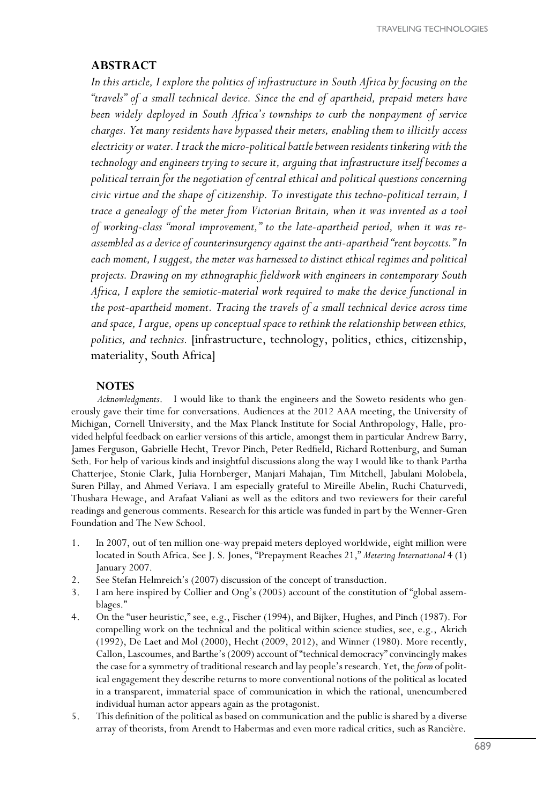## **ABSTRACT**

*In this article, I explore the politics of infrastructure in South Africa by focusing on the "travels" of a small technical device. Since the end of apartheid, prepaid meters have been widely deployed in South Africa's townships to curb the nonpayment of service charges. Yet many residents have bypassed their meters, enabling them to illicitly access electricity or water. I track the micro-political battle between residents tinkering with the technology and engineers trying to secure it, arguing that infrastructure itself becomes a political terrain for the negotiation of central ethical and political questions concerning civic virtue and the shape of citizenship. To investigate this techno-political terrain, I trace a genealogy of the meter from Victorian Britain, when it was invented as a tool of working-class "moral improvement," to the late-apartheid period, when it was reassembled as a device of counterinsurgency against the anti-apartheid "rent boycotts." In each moment, I suggest, the meter was harnessed to distinct ethical regimes and political projects. Drawing on my ethnographic fieldwork with engineers in contemporary South Africa, I explore the semiotic-material work required to make the device functional in the post-apartheid moment. Tracing the travels of a small technical device across time and space, I argue, opens up conceptual space to rethink the relationship between ethics, politics, and technics.* [infrastructure, technology, politics, ethics, citizenship, materiality, South Africa]

#### **NOTES**

*Acknowledgments*. I would like to thank the engineers and the Soweto residents who generously gave their time for conversations. Audiences at the 2012 AAA meeting, the University of Michigan, Cornell University, and the Max Planck Institute for Social Anthropology, Halle, provided helpful feedback on earlier versions of this article, amongst them in particular Andrew Barry, James Ferguson, Gabrielle Hecht, Trevor Pinch, Peter Redfield, Richard Rottenburg, and Suman Seth. For help of various kinds and insightful discussions along the way I would like to thank Partha Chatterjee, Stonie Clark, Julia Hornberger, Manjari Mahajan, Tim Mitchell, Jabulani Molobela, Suren Pillay, and Ahmed Veriava. I am especially grateful to Mireille Abelin, Ruchi Chaturvedi, Thushara Hewage, and Arafaat Valiani as well as the editors and two reviewers for their careful readings and generous comments. Research for this article was funded in part by the Wenner-Gren Foundation and The New School.

- 1. In 2007, out of ten million one-way prepaid meters deployed worldwide, eight million were located in South Africa. See J. S. Jones, "Prepayment Reaches 21," *Metering International* 4 (1) January 2007.
- 2. See Stefan Helmreich's (2007) discussion of the concept of transduction.
- 3. I am here inspired by Collier and Ong's (2005) account of the constitution of "global assemblages."
- 4. On the "user heuristic," see, e.g., Fischer (1994), and Bijker, Hughes, and Pinch (1987). For compelling work on the technical and the political within science studies, see, e.g., Akrich (1992), De Laet and Mol (2000), Hecht (2009, 2012), and Winner (1980). More recently, Callon, Lascoumes, and Barthe's (2009) account of "technical democracy" convincingly makes the case for a symmetry of traditional research and lay people's research. Yet, the *form* of political engagement they describe returns to more conventional notions of the political as located in a transparent, immaterial space of communication in which the rational, unencumbered individual human actor appears again as the protagonist.
- 5. This definition of the political as based on communication and the public is shared by a diverse array of theorists, from Arendt to Habermas and even more radical critics, such as Rancière.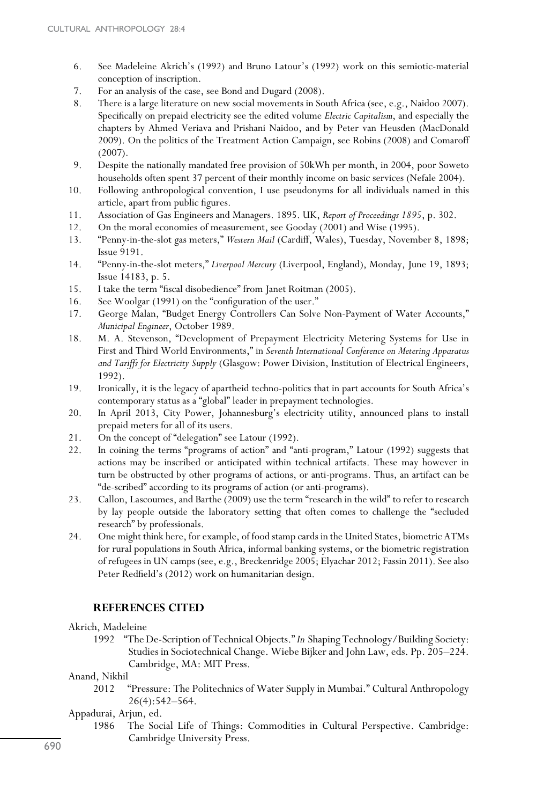- 6. See Madeleine Akrich's (1992) and Bruno Latour's (1992) work on this semiotic-material conception of inscription.
- 7. For an analysis of the case, see Bond and Dugard (2008).
- 8. There is a large literature on new social movements in South Africa (see, e.g., Naidoo 2007). Specifically on prepaid electricity see the edited volume *Electric Capitalism*, and especially the chapters by Ahmed Veriava and Prishani Naidoo, and by Peter van Heusden (MacDonald 2009). On the politics of the Treatment Action Campaign, see Robins (2008) and Comaroff (2007).
- 9. Despite the nationally mandated free provision of 50kWh per month, in 2004, poor Soweto households often spent 37 percent of their monthly income on basic services (Nefale 2004).
- 10. Following anthropological convention, I use pseudonyms for all individuals named in this article, apart from public figures.
- 11. Association of Gas Engineers and Managers. 1895. UK, *Report of Proceedings 1895*, p. 302.
- 12. On the moral economies of measurement, see Gooday (2001) and Wise (1995).
- 13. "Penny-in-the-slot gas meters," *Western Mail* (Cardiff, Wales), Tuesday, November 8, 1898; Issue 9191.
- 14. "Penny-in-the-slot meters," *Liverpool Mercury* (Liverpool, England), Monday, June 19, 1893; Issue 14183, p. 5.
- 15. I take the term "fiscal disobedience" from Janet Roitman (2005).
- 16. See Woolgar (1991) on the "configuration of the user."
- 17. George Malan, "Budget Energy Controllers Can Solve Non-Payment of Water Accounts," *Municipal Engineer*, October 1989.
- 18. M. A. Stevenson, "Development of Prepayment Electricity Metering Systems for Use in First and Third World Environments," in *Seventh International Conference on Metering Apparatus and Tariffs for Electricity Supply* (Glasgow: Power Division, Institution of Electrical Engineers, 1992).
- 19. Ironically, it is the legacy of apartheid techno-politics that in part accounts for South Africa's contemporary status as a "global" leader in prepayment technologies.
- 20. In April 2013, City Power, Johannesburg's electricity utility, announced plans to install prepaid meters for all of its users.
- 21. On the concept of "delegation" see Latour (1992).
- 22. In coining the terms "programs of action" and "anti-program," Latour (1992) suggests that actions may be inscribed or anticipated within technical artifacts. These may however in turn be obstructed by other programs of actions, or anti-programs. Thus, an artifact can be "de-scribed" according to its programs of action (or anti-programs).
- 23. Callon, Lascoumes, and Barthe (2009) use the term "research in the wild" to refer to research by lay people outside the laboratory setting that often comes to challenge the "secluded research" by professionals.
- 24. One might think here, for example, of food stamp cards in the United States, biometric ATMs for rural populations in South Africa, informal banking systems, or the biometric registration of refugees in UN camps (see, e.g., Breckenridge 2005; Elyachar 2012; Fassin 2011). See also Peter Redfield's (2012) work on humanitarian design.

## **REFERENCES CITED**

Akrich, Madeleine

1992 "The De-Scription of Technical Objects."*In* Shaping Technology/Building Society: Studies in Sociotechnical Change. Wiebe Bijker and John Law, eds. Pp. 205–224. Cambridge, MA: MIT Press.

Anand, Nikhil

- 2012 "Pressure: The Politechnics of Water Supply in Mumbai." Cultural Anthropology 26(4):542–564.
- Appadurai, Arjun, ed.
- 1986 The Social Life of Things: Commodities in Cultural Perspective. Cambridge: Cambridge University Press. 690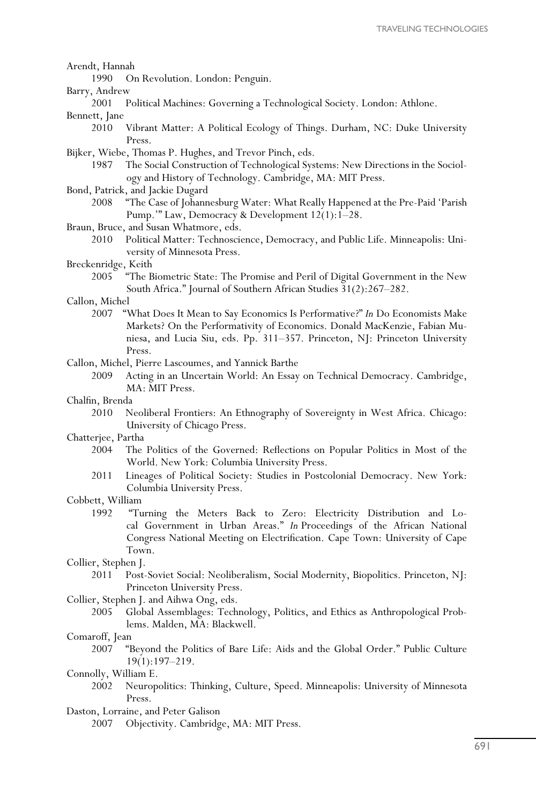# Arendt, Hannah

On Revolution. London: Penguin.

Barry, Andrew<br>2001 P

- Political Machines: Governing a Technological Society. London: Athlone.
- Bennett, Jane
	- 2010 Vibrant Matter: A Political Ecology of Things. Durham, NC: Duke University Press.
- Bijker, Wiebe, Thomas P. Hughes, and Trevor Pinch, eds.
	- 1987 The Social Construction of Technological Systems: New Directions in the Sociology and History of Technology. Cambridge, MA: MIT Press.
- Bond, Patrick, and Jackie Dugard
	- 2008 "The Case of Johannesburg Water: What Really Happened at the Pre-Paid 'Parish Pump.'" Law, Democracy & Development 12(1):1–28.
- Braun, Bruce, and Susan Whatmore, eds.
	- 2010 Political Matter: Technoscience, Democracy, and Public Life. Minneapolis: University of Minnesota Press.

# Breckenridge, Keith<br>
2005 The B

"The Biometric State: The Promise and Peril of Digital Government in the New South Africa." Journal of Southern African Studies 31(2):267–282.

#### Callon, Michel

- 2007 "What Does It Mean to Say Economics Is Performative?" *In* Do Economists Make Markets? On the Performativity of Economics. Donald MacKenzie, Fabian Muniesa, and Lucia Siu, eds. Pp. 311–357. Princeton, NJ: Princeton University Press.
- Callon, Michel, Pierre Lascoumes, and Yannick Barthe
	- 2009 Acting in an Uncertain World: An Essay on Technical Democracy. Cambridge, MA: MIT Press.
- Chalfin, Brenda
	- 2010 Neoliberal Frontiers: An Ethnography of Sovereignty in West Africa. Chicago: University of Chicago Press.

Chatterjee, Partha

- The Politics of the Governed: Reflections on Popular Politics in Most of the World. New York: Columbia University Press.
- 2011 Lineages of Political Society: Studies in Postcolonial Democracy. New York: Columbia University Press.
- Cobbett, William<br>1992 "Tu
	- "Turning the Meters Back to Zero: Electricity Distribution and Local Government in Urban Areas." In Proceedings of the African National Congress National Meeting on Electrification. Cape Town: University of Cape Town.

# Collier, Stephen J.

- Post-Soviet Social: Neoliberalism, Social Modernity, Biopolitics. Princeton, NJ: Princeton University Press.
- Collier, Stephen J. and Aihwa Ong, eds.
	- 2005 Global Assemblages: Technology, Politics, and Ethics as Anthropological Problems. Malden, MA: Blackwell.
- Comaroff, Jean<br>2007 "I
	- "Beyond the Politics of Bare Life: Aids and the Global Order." Public Culture 19(1):197–219.
- Connolly, William E.
	- 2002 Neuropolitics: Thinking, Culture, Speed. Minneapolis: University of Minnesota Press.
- Daston, Lorraine, and Peter Galison
	- 2007 Objectivity. Cambridge, MA: MIT Press.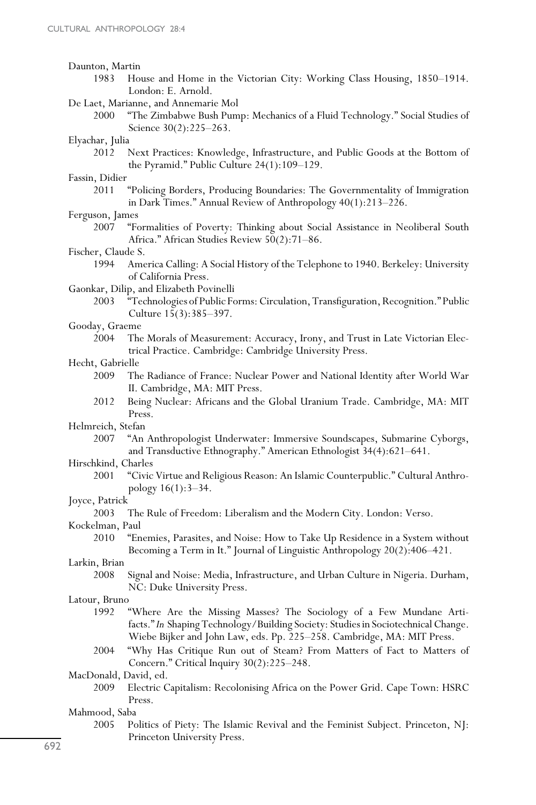## Daunton, Martin

House and Home in the Victorian City: Working Class Housing, 1850-1914. London: E. Arnold.

De Laet, Marianne, and Annemarie Mol

"The Zimbabwe Bush Pump: Mechanics of a Fluid Technology." Social Studies of Science 30(2):225–263.

#### Elyachar, Julia

2012 Next Practices: Knowledge, Infrastructure, and Public Goods at the Bottom of the Pyramid." Public Culture 24(1):109–129.

# Fassin, Didier

2011 "Policing Borders, Producing Boundaries: The Governmentality of Immigration in Dark Times." Annual Review of Anthropology 40(1):213–226.

# Ferguson, James<br>
2007 "Fo

"Formalities of Poverty: Thinking about Social Assistance in Neoliberal South Africa." African Studies Review 50(2):71–86.

#### Fischer, Claude S.

- 1994 America Calling: A Social History of the Telephone to 1940. Berkeley: University of California Press.
- Gaonkar, Dilip, and Elizabeth Povinelli
	- 2003 "Technologies of Public Forms: Circulation, Transfiguration, Recognition." Public Culture 15(3):385–397.

#### Gooday, Graeme

2004 The Morals of Measurement: Accuracy, Irony, and Trust in Late Victorian Electrical Practice. Cambridge: Cambridge University Press.

# Hecht, Gabrielle

- The Radiance of France: Nuclear Power and National Identity after World War II. Cambridge, MA: MIT Press.
- 2012 Being Nuclear: Africans and the Global Uranium Trade. Cambridge, MA: MIT Press.

## Helmreich, Stefan<br>
2007 "An

"An Anthropologist Underwater: Immersive Soundscapes, Submarine Cyborgs, and Transductive Ethnography." American Ethnologist 34(4):621–641.

## Hirschkind, Charles<br>
2001 Civic

"Civic Virtue and Religious Reason: An Islamic Counterpublic." Cultural Anthropology 16(1):3–34.

#### Joyce, Patrick

2003 The Rule of Freedom: Liberalism and the Modern City. London: Verso.

#### Kockelman, Paul

2010 "Enemies, Parasites, and Noise: How to Take Up Residence in a System without Becoming a Term in It." Journal of Linguistic Anthropology 20(2):406–421.

# Larkin, Brian

Signal and Noise: Media, Infrastructure, and Urban Culture in Nigeria. Durham, NC: Duke University Press.

## Latour, Bruno<br>1992

- "Where Are the Missing Masses? The Sociology of a Few Mundane Artifacts."*In* Shaping Technology/Building Society: Studies in Sociotechnical Change. Wiebe Bijker and John Law, eds. Pp. 225–258. Cambridge, MA: MIT Press.
- 2004 "Why Has Critique Run out of Steam? From Matters of Fact to Matters of Concern." Critical Inquiry 30(2):225–248.

MacDonald, David, ed.<br>2009 Electric C

Electric Capitalism: Recolonising Africa on the Power Grid. Cape Town: HSRC Press.

# Mahmood, Saba

Politics of Piety: The Islamic Revival and the Feminist Subject. Princeton, NJ: Princeton University Press.